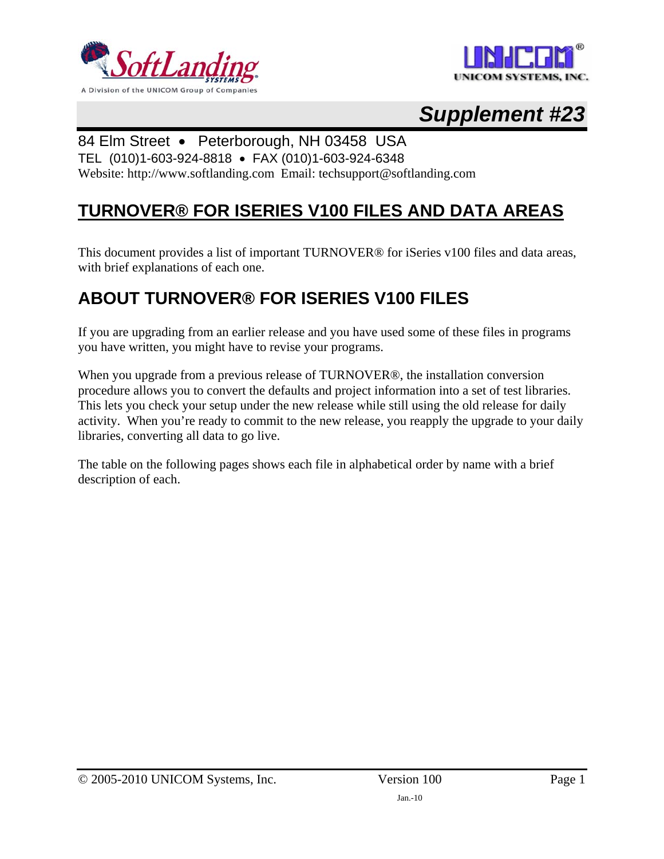



# *Supplement #23*

#### 84 Elm Street • Peterborough, NH 03458 USA

TEL (010)1-603-924-8818 • FAX (010)1-603-924-6348

Website: http://www.softlanding.com Email: techsupport@softlanding.com

### **TURNOVER® FOR ISERIES V100 FILES AND DATA AREAS**

This document provides a list of important TURNOVER® for iSeries v100 files and data areas, with brief explanations of each one.

## **ABOUT TURNOVER® FOR ISERIES V100 FILES**

If you are upgrading from an earlier release and you have used some of these files in programs you have written, you might have to revise your programs.

When you upgrade from a previous release of TURNOVER®, the installation conversion procedure allows you to convert the defaults and project information into a set of test libraries. This lets you check your setup under the new release while still using the old release for daily activity. When you're ready to commit to the new release, you reapply the upgrade to your daily libraries, converting all data to go live.

The table on the following pages shows each file in alphabetical order by name with a brief description of each.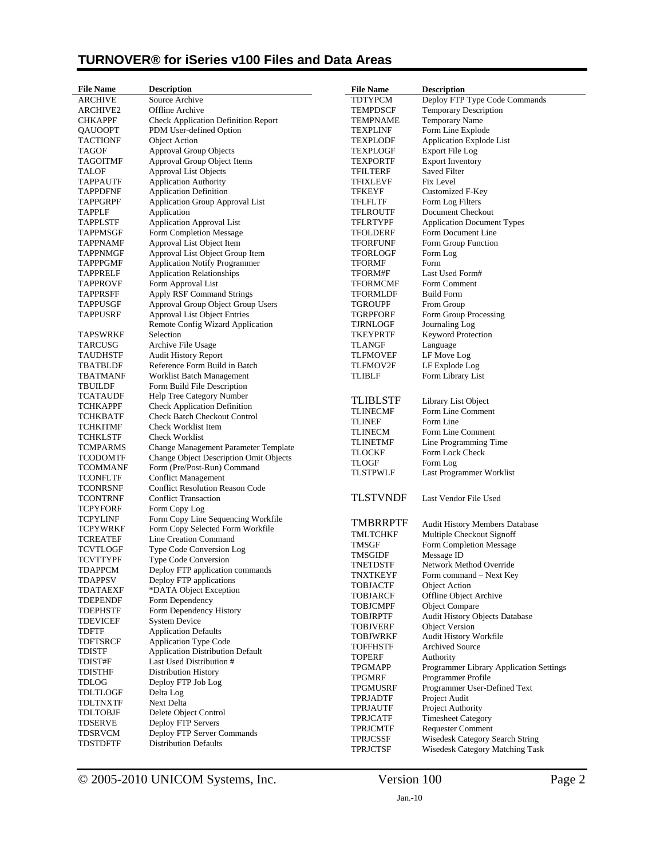| <b>File Name</b> | <b>Description</b>                         | <b>File Name</b> | <b>Description</b>                      |
|------------------|--------------------------------------------|------------------|-----------------------------------------|
| <b>ARCHIVE</b>   | Source Archive                             | <b>TDTYPCM</b>   | Deploy FTP Type Code Commands           |
| <b>ARCHIVE2</b>  | Offline Archive                            | <b>TEMPDSCF</b>  | <b>Temporary Description</b>            |
| <b>CHKAPPF</b>   | <b>Check Application Definition Report</b> | <b>TEMPNAME</b>  | Temporary Name                          |
| QAUOOPT          | PDM User-defined Option                    | TEXPLINF         | Form Line Explode                       |
| TACTIONF         | <b>Object Action</b>                       | TEXPLODF         | Application Explode List                |
| TAGOF            | <b>Approval Group Objects</b>              | <b>TEXPLOGF</b>  | Export File Log                         |
| TAGOITMF         | Approval Group Object Items                | <b>TEXPORTF</b>  | <b>Export Inventory</b>                 |
| <b>TALOF</b>     | <b>Approval List Objects</b>               | TFILTERF         | Saved Filter                            |
| <b>TAPPAUTF</b>  | <b>Application Authority</b>               | <b>TFIXLEVF</b>  | Fix Level                               |
| <b>TAPPDFNF</b>  | <b>Application Definition</b>              | TFKEYF           | <b>Customized F-Key</b>                 |
| TAPPGRPF         | <b>Application Group Approval List</b>     | TFLFLTF          | Form Log Filters                        |
| TAPPLF           | Application                                | TFLROUTF         | Document Checkout                       |
| <b>TAPPLSTF</b>  | <b>Application Approval List</b>           | <b>TFLRTYPF</b>  | <b>Application Document Types</b>       |
| <b>TAPPMSGF</b>  | Form Completion Message                    | <b>TFOLDERF</b>  | Form Document Line                      |
| <b>TAPPNAMF</b>  | Approval List Object Item                  | <b>TFORFUNF</b>  | Form Group Function                     |
| TAPPNMGF         | Approval List Object Group Item            | TFORLOGF         | Form Log                                |
| TAPPPGMF         | <b>Application Notify Programmer</b>       | <b>TFORMF</b>    | Form                                    |
| TAPPRELF         | <b>Application Relationships</b>           | TFORM#F          | Last Used Form#                         |
| TAPPROVF         | Form Approval List                         | TFORMCMF         | Form Comment                            |
| TAPPRSFF         | Apply RSF Command Strings                  | <b>TFORMLDF</b>  | <b>Build Form</b>                       |
| <b>TAPPUSGF</b>  | Approval Group Object Group Users          | TGROUPF          | From Group                              |
| <b>TAPPUSRF</b>  | <b>Approval List Object Entries</b>        | <b>TGRPFORF</b>  | Form Group Processing                   |
|                  | Remote Config Wizard Application           | TJRNLOGF         | Journaling Log                          |
| TAPSWRKF         | Selection                                  | <b>TKEYPRTF</b>  | <b>Keyword Protection</b>               |
| <b>TARCUSG</b>   | Archive File Usage                         | <b>TLANGF</b>    | Language                                |
| TAUDHSTF         | <b>Audit History Report</b>                | <b>TLFMOVEF</b>  | LF Move Log                             |
| TBATBLDF         | Reference Form Build in Batch              | <b>TLFMOV2F</b>  | LF Explode Log                          |
| <b>TBATMANF</b>  | Worklist Batch Management                  | <b>TLIBLF</b>    | Form Library List                       |
| <b>TBUILDF</b>   | Form Build File Description                |                  |                                         |
| TCATAUDF         | Help Tree Category Number                  | <b>TLIBLSTF</b>  | Library List Object                     |
| TCHKAPPF         | <b>Check Application Definition</b>        | <b>TLINECMF</b>  | Form Line Comment                       |
| TCHKBATF         | <b>Check Batch Checkout Control</b>        | <b>TLINEF</b>    | Form Line                               |
| TCHKITMF         | Check Worklist Item                        | TLINECM          | Form Line Comment                       |
| TCHKLSTF         | Check Worklist                             | TLINETMF         | Line Programming Time                   |
| TCMPARMS         | Change Management Parameter Template       | <b>TLOCKF</b>    | Form Lock Check                         |
| <b>TCODOMTF</b>  | Change Object Description Omit Objects     | TLOGF            | Form Log                                |
| TCOMMANF         | Form (Pre/Post-Run) Command                | TLSTPWLF         | Last Programmer Worklist                |
| TCONFLTF         | <b>Conflict Management</b>                 |                  |                                         |
| TCONRSNF         | <b>Conflict Resolution Reason Code</b>     |                  |                                         |
| TCONTRNF         | <b>Conflict Transaction</b>                | <b>TLSTVNDF</b>  | Last Vendor File Used                   |
| <b>TCPYFORF</b>  | Form Copy Log                              |                  |                                         |
| <b>TCPYLINF</b>  | Form Copy Line Sequencing Workfile         | <b>TMBRRPTF</b>  | Audit History Members Database          |
| <b>TCPYWRKF</b>  | Form Copy Selected Form Workfile           | TMLTCHKF         | Multiple Checkout Signoff               |
| TCREATEF         | Line Creation Command                      | TMSGF            | Form Completion Message                 |
| TCVTLOGF         | Type Code Conversion Log                   | <b>TMSGIDF</b>   | Message ID                              |
| TCVTTYPF         | <b>Type Code Conversion</b>                | <b>TNETDSTF</b>  | Network Method Override                 |
| TDAPPCM          | Deploy FTP application commands            | TNXTKEYF         | Form command – Next Key                 |
| TDAPPSV          | Deploy FTP applications                    | <b>TOBJACTF</b>  | <b>Object Action</b>                    |
| TDATAEXF         | *DATA Object Exception                     | <b>TOBJARCF</b>  | Offline Object Archive                  |
| <b>TDEPENDF</b>  | Form Dependency                            | <b>TOBJCMPF</b>  | <b>Object Compare</b>                   |
| TDEPHSTF         | Form Dependency History                    | <b>TOBJRPTF</b>  | Audit History Objects Database          |
| <b>TDEVICEF</b>  | <b>System Device</b>                       | <b>TOBJVERF</b>  | <b>Object Version</b>                   |
| TDFTF            | <b>Application Defaults</b>                | <b>TOBJWRKF</b>  | Audit History Workfile                  |
| TDFTSRCF         | <b>Application Type Code</b>               | <b>TOFFHSTF</b>  | Archived Source                         |
| TDISTF           | <b>Application Distribution Default</b>    | <b>TOPERF</b>    | Authority                               |
| TDIST#F          | Last Used Distribution #                   | <b>TPGMAPP</b>   | Programmer Library Application Settings |
| <b>TDISTHF</b>   | <b>Distribution History</b>                | <b>TPGMRF</b>    | Programmer Profile                      |
| <b>TDLOG</b>     | Deploy FTP Job Log                         | <b>TPGMUSRF</b>  | Programmer User-Defined Text            |
| TDLTLOGF         | Delta Log                                  | <b>TPRJADTF</b>  | Project Audit                           |
| <b>TDLTNXTF</b>  | Next Delta                                 | <b>TPRJAUTF</b>  | Project Authority                       |
| <b>TDLTOBJF</b>  | Delete Object Control                      | <b>TPRJCATF</b>  | <b>Timesheet Category</b>               |
| TDSERVE          | Deploy FTP Servers                         | <b>TPRJCMTF</b>  | <b>Requester Comment</b>                |
| TDSRVCM          | Deploy FTP Server Commands                 | <b>TPRJCSSF</b>  | Wisedesk Category Search String         |
| <b>TDSTDFTF</b>  | <b>Distribution Defaults</b>               | TPRJCTSF         | Wisedesk Category Matching Task         |
|                  |                                            |                  |                                         |

© 2005-2010 UNICOM Systems, Inc. Version 100 Page 2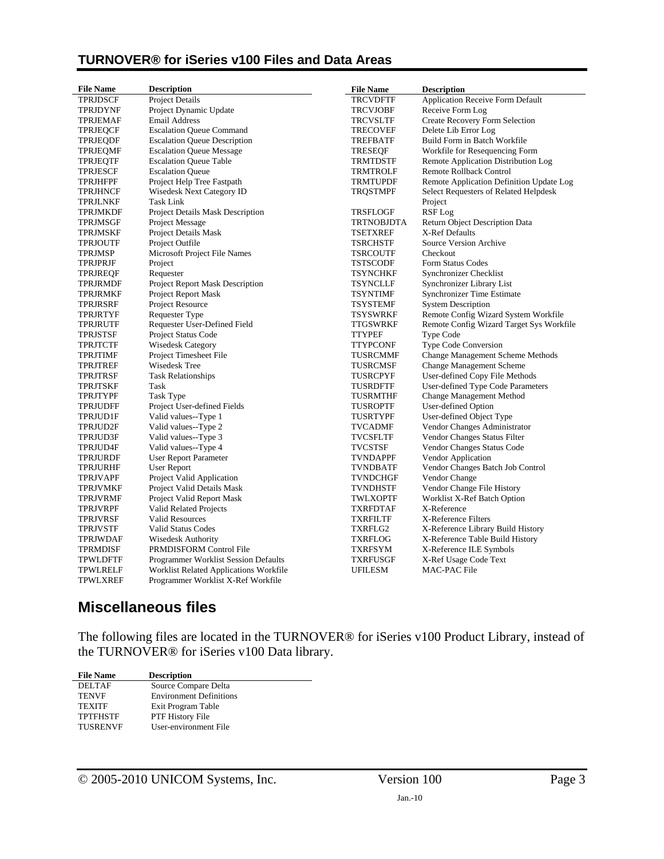| <b>File Name</b> | <b>Description</b>                          | <b>File Name</b>  | <b>Description</b>                       |
|------------------|---------------------------------------------|-------------------|------------------------------------------|
| <b>TPRJDSCF</b>  | Project Details                             | <b>TRCVDFTF</b>   | <b>Application Receive Form Default</b>  |
| TPRJDYNF         | Project Dynamic Update                      | <b>TRCVJOBF</b>   | Receive Form Log                         |
| <b>TPRJEMAF</b>  | <b>Email Address</b>                        | <b>TRCVSLTF</b>   | Create Recovery Form Selection           |
| <b>TPRJEQCF</b>  | <b>Escalation Queue Command</b>             | <b>TRECOVEF</b>   | Delete Lib Error Log                     |
| <b>TPRJEQDF</b>  | <b>Escalation Queue Description</b>         | TREFBATF          | Build Form in Batch Workfile             |
| <b>TPRJEQMF</b>  | <b>Escalation Queue Message</b>             | <b>TRESEQF</b>    | Workfile for Resequencing Form           |
| TPRJEQTF         | <b>Escalation Queue Table</b>               | <b>TRMTDSTF</b>   | Remote Application Distribution Log      |
| TPRJESCF         | <b>Escalation Queue</b>                     | <b>TRMTROLF</b>   | Remote Rollback Control                  |
| TPRJHFPF         | Project Help Tree Fastpath                  | <b>TRMTUPDF</b>   | Remote Application Definition Update Log |
| <b>TPRJHNCF</b>  | Wisedesk Next Category ID                   | TRQSTMPF          | Select Requesters of Related Helpdesk    |
| <b>TPRJLNKF</b>  | Task Link                                   |                   | Project                                  |
| <b>TPRJMKDF</b>  | Project Details Mask Description            | <b>TRSFLOGF</b>   | RSF Log                                  |
| TPRJMSGF         | Project Message                             | <b>TRTNOBJDTA</b> | <b>Return Object Description Data</b>    |
| TPRJMSKF         | Project Details Mask                        | <b>TSETXREF</b>   | X-Ref Defaults                           |
| <b>TPRJOUTF</b>  | Project Outfile                             | <b>TSRCHSTF</b>   | Source Version Archive                   |
| <b>TPRJMSP</b>   | Microsoft Project File Names                | <b>TSRCOUTF</b>   | Checkout                                 |
| TPRJPRJF         | Project                                     | <b>TSTSCODF</b>   | Form Status Codes                        |
| TPRJREQF         | Requester                                   | <b>TSYNCHKF</b>   | <b>Synchronizer Checklist</b>            |
| TPRJRMDF         | <b>Project Report Mask Description</b>      | TSYNCLLF          | Synchronizer Library List                |
| TPRJRMKF         | Project Report Mask                         | <b>TSYNTIMF</b>   | <b>Synchronizer Time Estimate</b>        |
| TPRJRSRF         | Project Resource                            | <b>TSYSTEMF</b>   | <b>System Description</b>                |
| TPRJRTYF         | <b>Requester Type</b>                       | <b>TSYSWRKF</b>   | Remote Config Wizard System Workfile     |
| TPRJRUTF         | Requester User-Defined Field                | TTGSWRKF          | Remote Config Wizard Target Sys Workfile |
| <b>TPRJSTSF</b>  | Project Status Code                         | <b>TTYPEF</b>     | Type Code                                |
| <b>TPRJTCTF</b>  | <b>Wisedesk Category</b>                    | <b>TTYPCONF</b>   | Type Code Conversion                     |
| TPRJTIMF         | Project Timesheet File                      | <b>TUSRCMMF</b>   | <b>Change Management Scheme Methods</b>  |
| TPRJTREF         | Wisedesk Tree                               | TUSRCMSF          | <b>Change Management Scheme</b>          |
| TPRJTRSF         | <b>Task Relationships</b>                   | TUSRCPYF          | User-defined Copy File Methods           |
| TPRJTSKF         | Task                                        | <b>TUSRDFTF</b>   | User-defined Type Code Parameters        |
| TPRJTYPF         | Task Type                                   | TUSRMTHF          | Change Management Method                 |
| TPRJUDFF         | Project User-defined Fields                 | TUSROPTF          | User-defined Option                      |
| TPRJUD1F         | Valid values--Type 1                        | TUSRTYPF          | User-defined Object Type                 |
| TPRJUD2F         | Valid values--Type 2                        | <b>TVCADMF</b>    | Vendor Changes Administrator             |
| TPRJUD3F         | Valid values--Type 3                        | <b>TVCSFLTF</b>   | Vendor Changes Status Filter             |
| TPRJUD4F         | Valid values--Type 4                        | <b>TVCSTSF</b>    | Vendor Changes Status Code               |
| TPRJURDF         | <b>User Report Parameter</b>                | <b>TVNDAPPF</b>   | Vendor Application                       |
| <b>TPRJURHF</b>  | <b>User Report</b>                          | <b>TVNDBATF</b>   | Vendor Changes Batch Job Control         |
| <b>TPRJVAPF</b>  | Project Valid Application                   | <b>TVNDCHGF</b>   | Vendor Change                            |
| TPRJVMKF         | Project Valid Details Mask                  | <b>TVNDHSTF</b>   | Vendor Change File History               |
| TPRJVRMF         | Project Valid Report Mask                   | TWLXOPTF          | Worklist X-Ref Batch Option              |
| TPRJVRPF         | Valid Related Projects                      | <b>TXRFDTAF</b>   | X-Reference                              |
| TPRJVRSF         | <b>Valid Resources</b>                      | <b>TXRFILTF</b>   | X-Reference Filters                      |
| <b>TPRJVSTF</b>  | <b>Valid Status Codes</b>                   | TXRFLG2           | X-Reference Library Build History        |
| TPRJWDAF         | <b>Wisedesk Authority</b>                   | TXRFLOG           | X-Reference Table Build History          |
| TPRMDISF         | PRMDISFORM Control File                     | TXRFSYM           | X-Reference ILE Symbols                  |
| <b>TPWLDFTF</b>  | <b>Programmer Worklist Session Defaults</b> | <b>TXRFUSGF</b>   | X-Ref Usage Code Text                    |
| TPWLRELF         | Worklist Related Applications Workfile      | <b>UFILESM</b>    | MAC-PAC File                             |
| TPWLXREF         | Programmer Worklist X-Ref Workfile          |                   |                                          |

### **Miscellaneous files**

The following files are located in the TURNOVER® for iSeries v100 Product Library, instead of the TURNOVER® for iSeries v100 Data library.

| <b>File Name</b> | <b>Description</b>             |
|------------------|--------------------------------|
| <b>DELTAF</b>    | Source Compare Delta           |
| <b>TENVF</b>     | <b>Environment Definitions</b> |
| <b>TEXITE</b>    | Exit Program Table             |
| <b>TPTFHSTF</b>  | PTF History File               |
| <b>TUSRENVF</b>  | User-environment File          |
|                  |                                |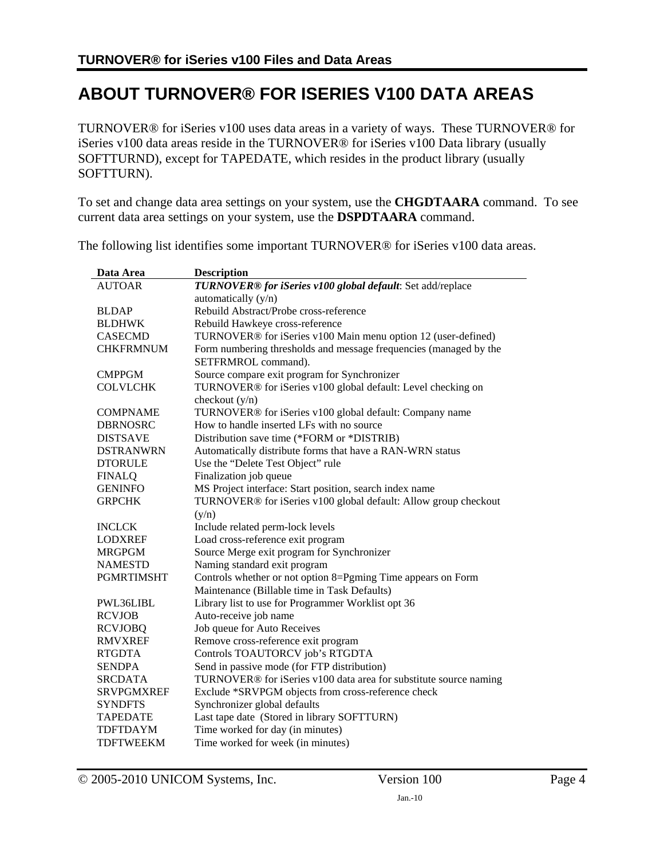# **ABOUT TURNOVER® FOR ISERIES V100 DATA AREAS**

TURNOVER® for iSeries v100 uses data areas in a variety of ways. These TURNOVER® for iSeries v100 data areas reside in the TURNOVER® for iSeries v100 Data library (usually SOFTTURND), except for TAPEDATE, which resides in the product library (usually SOFTTURN).

To set and change data area settings on your system, use the **CHGDTAARA** command. To see current data area settings on your system, use the **DSPDTAARA** command.

| Data Area         | <b>Description</b>                                                        |
|-------------------|---------------------------------------------------------------------------|
| <b>AUTOAR</b>     | TURNOVER® for iSeries v100 global default: Set add/replace                |
|                   | automatically (y/n)                                                       |
| <b>BLDAP</b>      | Rebuild Abstract/Probe cross-reference                                    |
| <b>BLDHWK</b>     | Rebuild Hawkeye cross-reference                                           |
| <b>CASECMD</b>    | TURNOVER <sup>®</sup> for iSeries v100 Main menu option 12 (user-defined) |
| <b>CHKFRMNUM</b>  | Form numbering thresholds and message frequencies (managed by the         |
|                   | SETFRMROL command).                                                       |
| <b>CMPPGM</b>     | Source compare exit program for Synchronizer                              |
| <b>COLVLCHK</b>   | TURNOVER® for iSeries v100 global default: Level checking on              |
|                   | checkout $(y/n)$                                                          |
| <b>COMPNAME</b>   | TURNOVER® for iSeries v100 global default: Company name                   |
| <b>DBRNOSRC</b>   | How to handle inserted LFs with no source                                 |
| <b>DISTSAVE</b>   | Distribution save time (*FORM or *DISTRIB)                                |
| <b>DSTRANWRN</b>  | Automatically distribute forms that have a RAN-WRN status                 |
| <b>DTORULE</b>    | Use the "Delete Test Object" rule                                         |
| <b>FINALQ</b>     | Finalization job queue                                                    |
| <b>GENINFO</b>    | MS Project interface: Start position, search index name                   |
| <b>GRPCHK</b>     | TURNOVER® for iSeries v100 global default: Allow group checkout           |
|                   | (y/n)                                                                     |
| <b>INCLCK</b>     | Include related perm-lock levels                                          |
| <b>LODXREF</b>    | Load cross-reference exit program                                         |
| <b>MRGPGM</b>     | Source Merge exit program for Synchronizer                                |
| <b>NAMESTD</b>    | Naming standard exit program                                              |
| <b>PGMRTIMSHT</b> | Controls whether or not option 8=Pgming Time appears on Form              |
|                   | Maintenance (Billable time in Task Defaults)                              |
| PWL36LIBL         | Library list to use for Programmer Worklist opt 36                        |
| <b>RCVJOB</b>     | Auto-receive job name                                                     |
| <b>RCVJOBQ</b>    | Job queue for Auto Receives                                               |
| <b>RMVXREF</b>    | Remove cross-reference exit program                                       |
| <b>RTGDTA</b>     | Controls TOAUTORCV job's RTGDTA                                           |
| <b>SENDPA</b>     | Send in passive mode (for FTP distribution)                               |
| <b>SRCDATA</b>    | TURNOVER® for iSeries v100 data area for substitute source naming         |
| <b>SRVPGMXREF</b> | Exclude *SRVPGM objects from cross-reference check                        |
| <b>SYNDFTS</b>    | Synchronizer global defaults                                              |
| <b>TAPEDATE</b>   | Last tape date (Stored in library SOFTTURN)                               |
| <b>TDFTDAYM</b>   | Time worked for day (in minutes)                                          |
| <b>TDFTWEEKM</b>  | Time worked for week (in minutes)                                         |

The following list identifies some important TURNOVER® for iSeries v100 data areas.

© 2005-2010 UNICOM Systems, Inc. Version 100 Page 4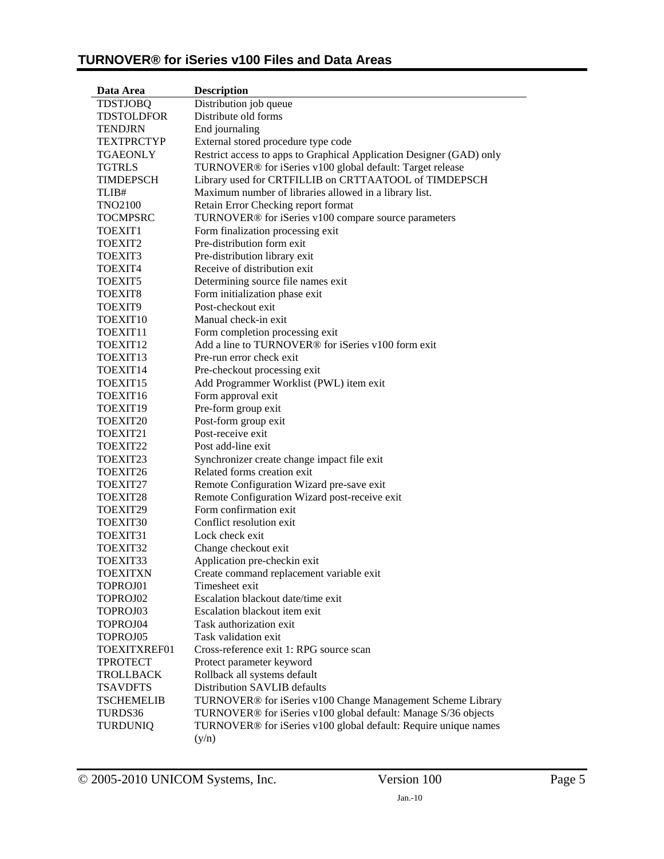| Data Area            | <b>Description</b>                                                          |
|----------------------|-----------------------------------------------------------------------------|
| <b>TDSTJOBQ</b>      | Distribution job queue                                                      |
| <b>TDSTOLDFOR</b>    | Distribute old forms                                                        |
| <b>TENDJRN</b>       | End journaling                                                              |
| <b>TEXTPRCTYP</b>    | External stored procedure type code                                         |
| <b>TGAEONLY</b>      | Restrict access to apps to Graphical Application Designer (GAD) only        |
| <b>TGTRLS</b>        | TURNOVER® for iSeries v100 global default: Target release                   |
| <b>TIMDEPSCH</b>     | Library used for CRTFILLIB on CRTTAATOOL of TIMDEPSCH                       |
| TLIB#                | Maximum number of libraries allowed in a library list.                      |
| <b>TNO2100</b>       | Retain Error Checking report format                                         |
| <b>TOCMPSRC</b>      | TURNOVER® for iSeries v100 compare source parameters                        |
| TOEXIT <sub>1</sub>  | Form finalization processing exit                                           |
| TOEXIT2              | Pre-distribution form exit                                                  |
| TOEXIT3              | Pre-distribution library exit                                               |
| TOEXIT4              | Receive of distribution exit                                                |
| TOEXIT5              | Determining source file names exit                                          |
| TOEXIT8              | Form initialization phase exit                                              |
| TOEXIT9              | Post-checkout exit                                                          |
| TOEXIT <sub>10</sub> | Manual check-in exit                                                        |
| TOEXIT11             | Form completion processing exit                                             |
| TOEXIT <sub>12</sub> | Add a line to TURNOVER® for iSeries v100 form exit                          |
| TOEXIT <sub>13</sub> | Pre-run error check exit                                                    |
| TOEXIT14             | Pre-checkout processing exit                                                |
| TOEXIT15             | Add Programmer Worklist (PWL) item exit                                     |
| TOEXIT16             | Form approval exit                                                          |
| TOEXIT19             | Pre-form group exit                                                         |
| TOEXIT20             | Post-form group exit                                                        |
| TOEXIT21             | Post-receive exit                                                           |
| TOEXIT22             | Post add-line exit                                                          |
| TOEXIT23             | Synchronizer create change impact file exit                                 |
| TOEXIT26             | Related forms creation exit                                                 |
| TOEXIT27             | Remote Configuration Wizard pre-save exit                                   |
| TOEXIT28             | Remote Configuration Wizard post-receive exit                               |
| TOEXIT29             | Form confirmation exit                                                      |
| TOEXIT30             | Conflict resolution exit                                                    |
| TOEXIT31             | Lock check exit                                                             |
| TOEXIT32             | Change checkout exit                                                        |
| TOEXIT33             | Application pre-checkin exit                                                |
| <b>TOEXITXN</b>      | Create command replacement variable exit                                    |
| TOPROJ01             | Timesheet exit                                                              |
| TOPROJ02             | Escalation blackout date/time exit                                          |
| TOPROJ03             | Escalation blackout item exit                                               |
| TOPROJ04             | Task authorization exit                                                     |
| TOPROJ05             | Task validation exit                                                        |
| TOEXITXREF01         | Cross-reference exit 1: RPG source scan                                     |
| <b>TPROTECT</b>      | Protect parameter keyword                                                   |
| <b>TROLLBACK</b>     | Rollback all systems default                                                |
| <b>TSAVDFTS</b>      | Distribution SAVLIB defaults                                                |
| <b>TSCHEMELIB</b>    | TURNOVER® for iSeries v100 Change Management Scheme Library                 |
| TURDS36              | TURNOVER® for iSeries v100 global default: Manage S/36 objects              |
| <b>TURDUNIQ</b>      | TURNOVER <sup>®</sup> for iSeries v100 global default: Require unique names |
|                      | (y/n)                                                                       |

© 2005-2010 UNICOM Systems, Inc. Version 100 Page 5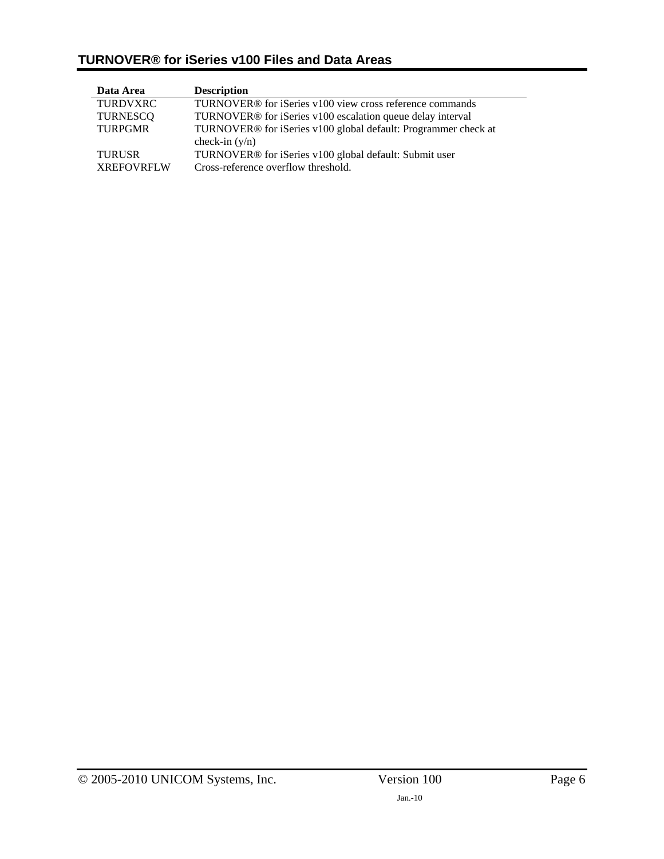| Data Area         | <b>Description</b>                                                         |
|-------------------|----------------------------------------------------------------------------|
| <b>TURDVXRC</b>   | TURNOVER <sup>®</sup> for iSeries v100 view cross reference commands       |
| TURNESCO          | TURNOVER <sup>®</sup> for iSeries v100 escalation queue delay interval     |
| <b>TURPGMR</b>    | TURNOVER <sup>®</sup> for iSeries v100 global default: Programmer check at |
|                   | check-in $(y/n)$                                                           |
| <b>TURUSR</b>     | TURNOVER <sup>®</sup> for iSeries v100 global default: Submit user         |
| <b>XREFOVRFLW</b> | Cross-reference overflow threshold.                                        |